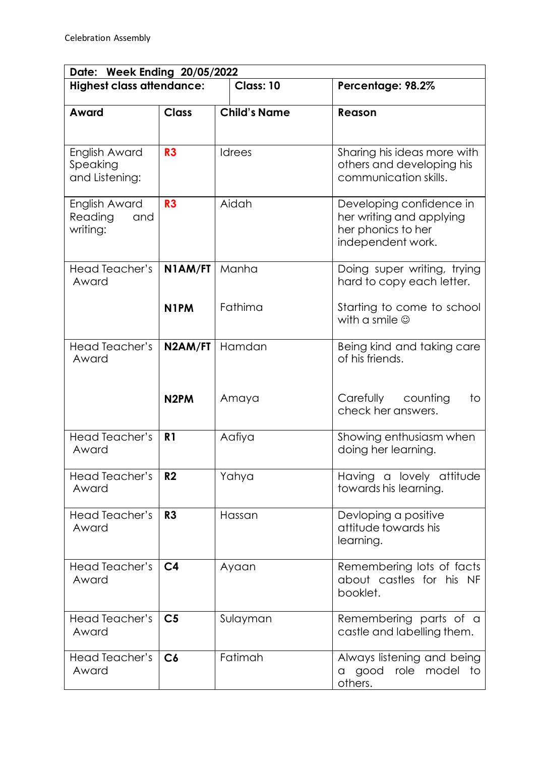| Date: Week Ending 20/05/2022                |                   |                     |                                                                                                 |  |  |
|---------------------------------------------|-------------------|---------------------|-------------------------------------------------------------------------------------------------|--|--|
| <b>Highest class attendance:</b>            |                   | Class: 10           | Percentage: 98.2%                                                                               |  |  |
| Award                                       | <b>Class</b>      | <b>Child's Name</b> | Reason                                                                                          |  |  |
| English Award<br>Speaking<br>and Listening: | R3                | <b>Idrees</b>       | Sharing his ideas more with<br>others and developing his<br>communication skills.               |  |  |
| English Award<br>Reading<br>and<br>writing: | R3                | Aidah               | Developing confidence in<br>her writing and applying<br>her phonics to her<br>independent work. |  |  |
| Head Teacher's<br>Award                     | N1AM/FT           | Manha               | Doing super writing, trying<br>hard to copy each letter.                                        |  |  |
|                                             | N <sub>1</sub> PM | Fathima             | Starting to come to school<br>with a smile $\circledcirc$                                       |  |  |
| Head Teacher's<br>Award                     | N2AM/FT           | Hamdan              | Being kind and taking care<br>of his friends.                                                   |  |  |
|                                             | N <sub>2</sub> PM | Amaya               | Carefully<br>counting<br>to<br>check her answers.                                               |  |  |
| Head Teacher's<br>Award                     | $R1$              | Aafiya              | Showing enthusiasm when<br>doing her learning.                                                  |  |  |
| <b>Head Teacher's</b><br>Award              | R <sub>2</sub>    | Yahya               | Having a lovely attitude<br>towards his learning.                                               |  |  |
| <b>Head Teacher's</b><br>Award              | R <sub>3</sub>    | Hassan              | Devloping a positive<br>attitude towards his<br>learning.                                       |  |  |
| Head Teacher's<br>Award                     | C <sub>4</sub>    | Ayaan               | Remembering lots of facts<br>about castles for his NF<br>booklet.                               |  |  |
| Head Teacher's<br>Award                     | C <sub>5</sub>    | Sulayman            | Remembering parts of a<br>castle and labelling them.                                            |  |  |
| Head Teacher's<br>Award                     | C6                | Fatimah             | Always listening and being<br>a good role model to<br>others.                                   |  |  |